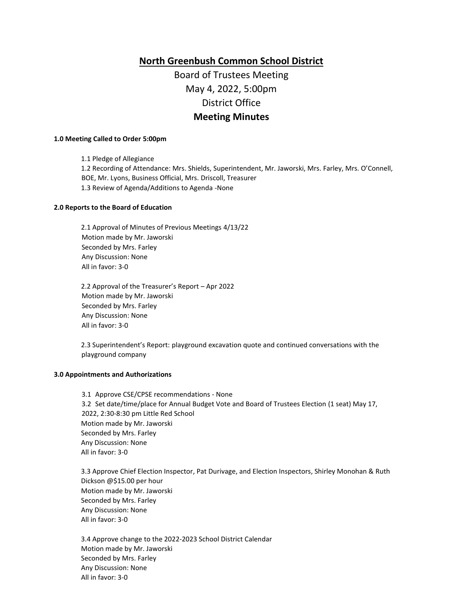# **North Greenbush Common School District**

# Board of Trustees Meeting May 4, 2022, 5:00pm District Office **Meeting Minutes**

#### **1.0 Meeting Called to Order 5:00pm**

1.1 Pledge of Allegiance 1.2 Recording of Attendance: Mrs. Shields, Superintendent, Mr. Jaworski, Mrs. Farley, Mrs. O'Connell, BOE, Mr. Lyons, Business Official, Mrs. Driscoll, Treasurer 1.3 Review of Agenda/Additions to Agenda -None

# **2.0 Reports to the Board of Education**

2.1 Approval of Minutes of Previous Meetings 4/13/22 Motion made by Mr. Jaworski Seconded by Mrs. Farley Any Discussion: None All in favor: 3-0

2.2 Approval of the Treasurer's Report – Apr 2022 Motion made by Mr. Jaworski Seconded by Mrs. Farley Any Discussion: None All in favor: 3-0

2.3 Superintendent's Report: playground excavation quote and continued conversations with the playground company

### **3.0 Appointments and Authorizations**

3.1 Approve CSE/CPSE recommendations - None 3.2 Set date/time/place for Annual Budget Vote and Board of Trustees Election (1 seat) May 17, 2022, 2:30-8:30 pm Little Red School Motion made by Mr. Jaworski Seconded by Mrs. Farley Any Discussion: None All in favor: 3-0

3.3 Approve Chief Election Inspector, Pat Durivage, and Election Inspectors, Shirley Monohan & Ruth Dickson @\$15.00 per hour Motion made by Mr. Jaworski Seconded by Mrs. Farley Any Discussion: None All in favor: 3-0

3.4 Approve change to the 2022-2023 School District Calendar Motion made by Mr. Jaworski Seconded by Mrs. Farley Any Discussion: None All in favor: 3-0